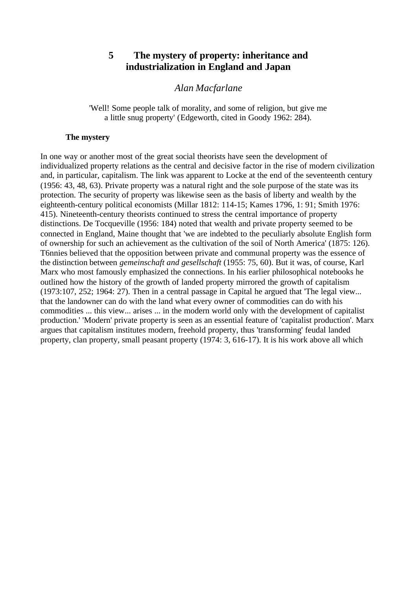# **5 The mystery of property: inheritance and industrialization in England and Japan**

# *Alan Macfarlane*

'Well! Some people talk of morality, and some of religion, but give me a little snug property' (Edgeworth, cited in Goody 1962: 284).

### **The mystery**

In one way or another most of the great social theorists have seen the development of individualized property relations as the central and decisive factor in the rise of modern civilization and, in particular, capitalism. The link was apparent to Locke at the end of the seventeenth century (1956: 43, 48, 63). Private property was a natural right and the sole purpose of the state was its protection. The security of property was likewise seen as the basis of liberty and wealth by the eighteenth-century political economists (Millar 1812: 114-15; Kames 1796, 1: 91; Smith 1976: 415). Nineteenth-century theorists continued to stress the central importance of property distinctions. De Tocqueville (1956: 184) noted that wealth and private property seemed to be connected in England, Maine thought that 'we are indebted to the peculiarly absolute English form of ownership for such an achievement as the cultivation of the soil of North America' (1875: 126). T6nnies believed that the opposition between private and communal property was the essence of the distinction between *gemeinschaft and gesellschaft* (1955: 75, 60). But it was, of course, Karl Marx who most famously emphasized the connections. In his earlier philosophical notebooks he outlined how the history of the growth of landed property mirrored the growth of capitalism (1973:107, 252; 1964: 27). Then in a central passage in Capital he argued that 'The legal view... that the landowner can do with the land what every owner of commodities can do with his commodities ... this view... arises ... in the modern world only with the development of capitalist production.' 'Modern' private property is seen as an essential feature of 'capitalist production'. Marx argues that capitalism institutes modern, freehold property, thus 'transforming' feudal landed property, clan property, small peasant property (1974: 3, 616-17). It is his work above all which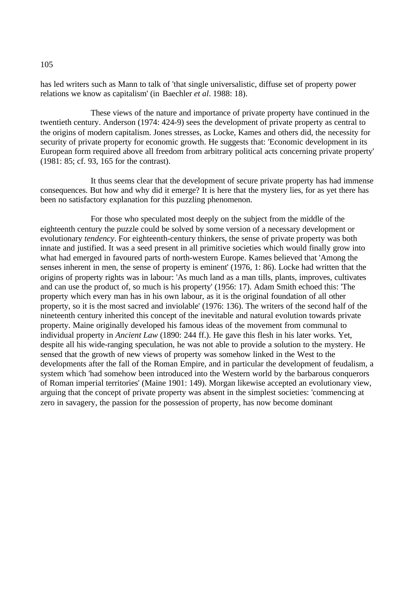has led writers such as Mann to talk of 'that single universalistic, diffuse set of property power relations we know as capitalism' (in Baechler *et al*. 1988: 18).

These views of the nature and importance of private property have continued in the twentieth century. Anderson (1974: 424-9) sees the development of private property as central to the origins of modern capitalism. Jones stresses, as Locke, Kames and others did, the necessity for security of private property for economic growth. He suggests that: 'Economic development in its European form required above all freedom from arbitrary political acts concerning private property' (1981: 85; cf. 93, 165 for the contrast).

It thus seems clear that the development of secure private property has had immense consequences. But how and why did it emerge? It is here that the mystery lies, for as yet there has been no satisfactory explanation for this puzzling phenomenon.

For those who speculated most deeply on the subject from the middle of the eighteenth century the puzzle could be solved by some version of a necessary development or evolutionary *tendency*. For eighteenth-century thinkers, the sense of private property was both innate and justified. It was a seed present in all primitive societies which would finally grow into what had emerged in favoured parts of north-western Europe. Kames believed that 'Among the senses inherent in men, the sense of property is eminent' (1976, 1: 86). Locke had written that the origins of property rights was in labour: 'As much land as a man tills, plants, improves, cultivates and can use the product of, so much is his property' (1956: 17). Adam Smith echoed this: 'The property which every man has in his own labour, as it is the original foundation of all other property, so it is the most sacred and inviolable' (1976: 136). The writers of the second half of the nineteenth century inherited this concept of the inevitable and natural evolution towards private property. Maine originally developed his famous ideas of the movement from communal to individual property in *Ancient Law* (1890: 244 ff.). He gave this flesh in his later works. Yet, despite all his wide-ranging speculation, he was not able to provide a solution to the mystery. He sensed that the growth of new views of property was somehow linked in the West to the developments after the fall of the Roman Empire, and in particular the development of feudalism, a system which 'had somehow been introduced into the Western world by the barbarous conquerors of Roman imperial territories' (Maine 1901: 149). Morgan likewise accepted an evolutionary view, arguing that the concept of private property was absent in the simplest societies: 'commencing at zero in savagery, the passion for the possession of property, has now become dominant

105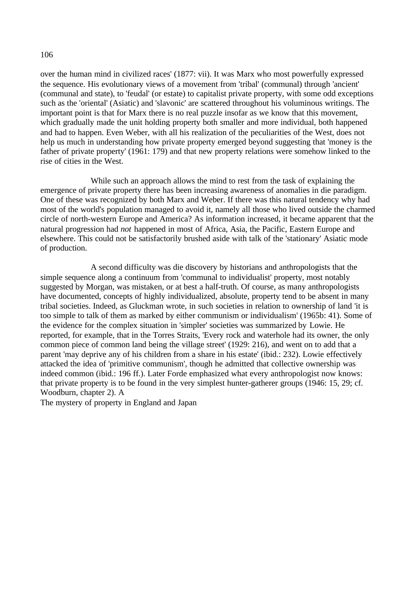over the human mind in civilized races' (1877: vii). It was Marx who most powerfully expressed the sequence. His evolutionary views of a movement from 'tribal' (communal) through 'ancient' (communal and state), to 'feudal' (or estate) to capitalist private property, with some odd exceptions such as the 'oriental' (Asiatic) and 'slavonic' are scattered throughout his voluminous writings. The important point is that for Marx there is no real puzzle insofar as we know that this movement, which gradually made the unit holding property both smaller and more individual, both happened and had to happen. Even Weber, with all his realization of the peculiarities of the West, does not help us much in understanding how private property emerged beyond suggesting that 'money is the father of private property' (1961: 179) and that new property relations were somehow linked to the rise of cities in the West.

While such an approach allows the mind to rest from the task of explaining the emergence of private property there has been increasing awareness of anomalies in die paradigm. One of these was recognized by both Marx and Weber. If there was this natural tendency why had most of the world's population managed to avoid it, namely all those who lived outside the charmed circle of north-western Europe and America? As information increased, it became apparent that the natural progression had *not* happened in most of Africa, Asia, the Pacific, Eastern Europe and elsewhere. This could not be satisfactorily brushed aside with talk of the 'stationary' Asiatic mode of production.

A second difficulty was die discovery by historians and anthropologists that the simple sequence along a continuum from 'communal to individualist' property, most notably suggested by Morgan, was mistaken, or at best a half-truth. Of course, as many anthropologists have documented, concepts of highly individualized, absolute, property tend to be absent in many tribal societies. Indeed, as Gluckman wrote, in such societies in relation to ownership of land 'it is too simple to talk of them as marked by either communism or individualism' (1965b: 41). Some of the evidence for the complex situation in 'simpler' societies was summarized by Lowie. He reported, for example, that in the Torres Straits, 'Every rock and waterhole had its owner, the only common piece of common land being the village street' (1929: 216), and went on to add that a parent 'may deprive any of his children from a share in his estate' (ibid.: 232). Lowie effectively attacked the idea of 'primitive communism', though he admitted that collective ownership was indeed common (ibid.: 196 ff.). Later Forde emphasized what every anthropologist now knows: that private property is to be found in the very simplest hunter-gatherer groups (1946: 15, 29; cf. Woodburn, chapter 2). A

The mystery of property in England and Japan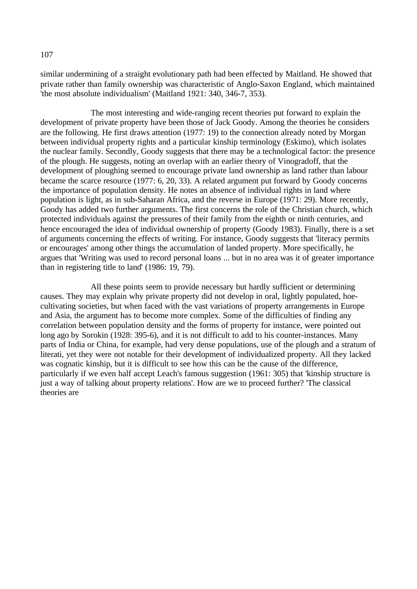similar undermining of a straight evolutionary path had been effected by Maitland. He showed that private rather than family ownership was characteristic of Anglo-Saxon England, which maintained 'the most absolute individualism' (Maitland 1921: 340, 346-7, 353).

The most interesting and wide-ranging recent theories put forward to explain the development of private property have been those of Jack Goody. Among the theories he considers are the following. He first draws attention (1977: 19) to the connection already noted by Morgan between individual property rights and a particular kinship terminology (Eskimo), which isolates the nuclear family. Secondly, Goody suggests that there may be a technological factor: the presence of the plough. He suggests, noting an overlap with an earlier theory of Vinogradoff, that the development of ploughing seemed to encourage private land ownership as land rather than labour became the scarce resource (1977: 6, 20, 33). A related argument put forward by Goody concerns the importance of population density. He notes an absence of individual rights in land where population is light, as in sub-Saharan Africa, and the reverse in Europe (1971: 29). More recently, Goody has added two further arguments. The first concerns the role of the Christian church, which protected individuals against the pressures of their family from the eighth or ninth centuries, and hence encouraged the idea of individual ownership of property (Goody 1983). Finally, there is a set of arguments concerning the effects of writing. For instance, Goody suggests that 'literacy permits or encourages' among other things the accumulation of landed property. More specifically, he argues that 'Writing was used to record personal loans ... but in no area was it of greater importance than in registering title to land' (1986: 19, 79).

All these points seem to provide necessary but hardly sufficient or determining causes. They may explain why private property did not develop in oral, lightly populated, hoecultivating societies, but when faced with the vast variations of property arrangements in Europe and Asia, the argument has to become more complex. Some of the difficulties of finding any correlation between population density and the forms of property for instance, were pointed out long ago by Sorokin (1928: 395-6), and it is not difficult to add to his counter-instances. Many parts of India or China, for example, had very dense populations, use of the plough and a stratum of literati, yet they were not notable for their development of individualized property. All they lacked was cognatic kinship, but it is difficult to see how this can be the cause of the difference, particularly if we even half accept Leach's famous suggestion (1961: 305) that 'kinship structure is just a way of talking about property relations'. How are we to proceed further? 'The classical theories are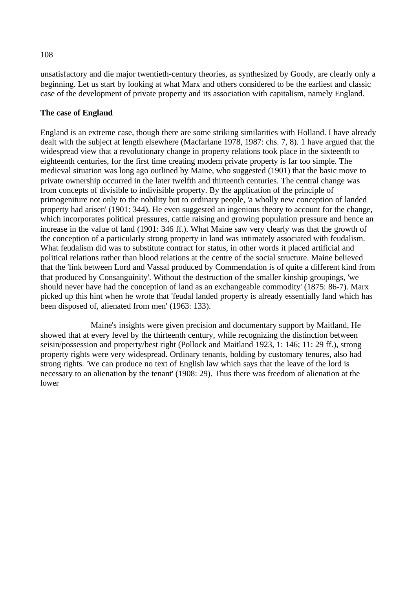unsatisfactory and die major twentieth-century theories, as synthesized by Goody, are clearly only a beginning. Let us start by looking at what Marx and others considered to be the earliest and classic case of the development of private property and its association with capitalism, namely England.

# **The case of England**

England is an extreme case, though there are some striking similarities with Holland. I have already dealt with the subject at length elsewhere (Macfarlane 1978, 1987: chs. 7, 8). 1 have argued that the widespread view that a revolutionary change in property relations took place in the sixteenth to eighteenth centuries, for the first time creating modem private property is far too simple. The medieval situation was long ago outlined by Maine, who suggested (1901) that the basic move to private ownership occurred in the later twelfth and thirteenth centuries. The central change was from concepts of divisible to indivisible property. By the application of the principle of primogeniture not only to the nobility but to ordinary people, 'a wholly new conception of landed property had arisen' (1901: 344). He even suggested an ingenious theory to account for the change, which incorporates political pressures, cattle raising and growing population pressure and hence an increase in the value of land (1901: 346 ff.). What Maine saw very clearly was that the growth of the conception of a particularly strong property in land was intimately associated with feudalism. What feudalism did was to substitute contract for status, in other words it placed artificial and political relations rather than blood relations at the centre of the social structure. Maine believed that the 'link between Lord and Vassal produced by Commendation is of quite a different kind from that produced by Consanguinity'. Without the destruction of the smaller kinship groupings, 'we should never have had the conception of land as an exchangeable commodity' (1875: 86-7). Marx picked up this hint when he wrote that 'feudal landed property is already essentially land which has been disposed of, alienated from men' (1963: 133).

Maine's insights were given precision and documentary support by Maitland, He showed that at every level by the thirteenth century, while recognizing the distinction between seisin/possession and property/best right (Pollock and Maitland 1923, 1: 146; 11: 29 ff.), strong property rights were very widespread. Ordinary tenants, holding by customary tenures, also had strong rights. 'We can produce no text of English law which says that the leave of the lord is necessary to an alienation by the tenant' (1908: 29). Thus there was freedom of alienation at the lower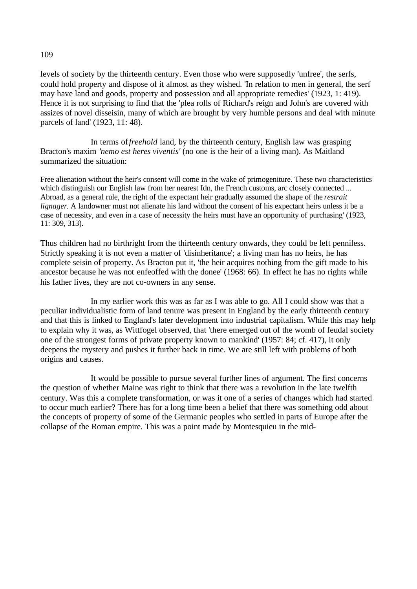# levels of society by the thirteenth century. Even those who were supposedly 'unfree', the serfs, could hold property and dispose of it almost as they wished. 'In relation to men in general, the serf may have land and goods, property and possession and all appropriate remedies' (1923, 1: 419). Hence it is not surprising to find that the 'plea rolls of Richard's reign and John's are covered with

In terms of*freehold* land, by the thirteenth century, English law was grasping Bracton's maxim *'nemo est heres viventis'* (no one is the heir of a living man). As Maitland summarized the situation:

Free alienation without the heir's consent will come in the wake of primogeniture. These two characteristics which distinguish our English law from her nearest Idn, the French customs, arc closely connected ... Abroad, as a general rule, the right of the expectant heir gradually assumed the shape of the *restrait lignager*. A landowner must not alienate his land without the consent of his expectant heirs unless it be a case of necessity, and even in a case of necessity the heirs must have an opportunity of purchasing' (1923, 11: 309, 313).

assizes of novel disseisin, many of which are brought by very humble persons and deal with minute

Thus children had no birthright from the thirteenth century onwards, they could be left penniless. Strictly speaking it is not even a matter of 'disinheritance'; a living man has no heirs, he has complete seisin of property. As Bracton put it, 'the heir acquires nothing from the gift made to his ancestor because he was not enfeoffed with the donee' (1968: 66). In effect he has no rights while his father lives, they are not co-owners in any sense.

In my earlier work this was as far as I was able to go. All I could show was that a peculiar individualistic form of land tenure was present in England by the early thirteenth century and that this is linked to England's later development into industrial capitalism. While this may help to explain why it was, as Wittfogel observed, that 'there emerged out of the womb of feudal society one of the strongest forms of private property known to mankind' (1957: 84; cf. 417), it only deepens the mystery and pushes it further back in time. We are still left with problems of both origins and causes.

It would be possible to pursue several further lines of argument. The first concerns the question of whether Maine was right to think that there was a revolution in the late twelfth century. Was this a complete transformation, or was it one of a series of changes which had started to occur much earlier? There has for a long time been a belief that there was something odd about the concepts of property of some of the Germanic peoples who settled in parts of Europe after the collapse of the Roman empire. This was a point made by Montesquieu in the mid-

parcels of land' (1923, 11: 48).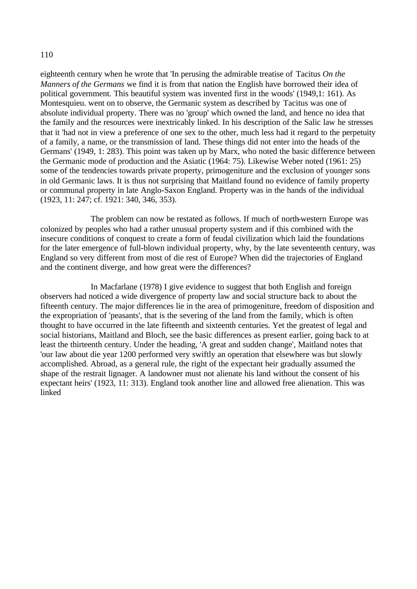eighteenth century when he wrote that 'In perusing the admirable treatise of Tacitus *On the Manners of the Germans* we find it is from that nation the English have borrowed their idea of political government. This beautiful system was invented first in the woods' (1949,1: 161). As Montesquieu. went on to observe, the Germanic system as described by Tacitus was one of absolute individual property. There was no 'group' which owned the land, and hence no idea that the family and the resources were inextricably linked. In his description of the Salic law he stresses that it 'had not in view a preference of one sex to the other, much less had it regard to the perpetuity of a family, a name, or the transmission of land. These things did not enter into the heads of the Germans' (1949, 1: 283). This point was taken up by Marx, who noted the basic difference between the Germanic mode of production and the Asiatic (1964: 75). Likewise Weber noted (1961: 25) some of the tendencies towards private property, primogeniture and the exclusion of younger sons in old Germanic laws. It is thus not surprising that Maitland found no evidence of family property or communal property in late Anglo-Saxon England. Property was in the hands of the individual (1923, 11: 247; cf. 1921: 340, 346, 353).

The problem can now be restated as follows. If much of north-western Europe was colonized by peoples who had a rather unusual property system and if this combined with the insecure conditions of conquest to create a form of feudal civilization which laid the foundations for the later emergence of full-blown individual property, why, by the late seventeenth century, was England so very different from most of die rest of Europe? When did the trajectories of England and the continent diverge, and how great were the differences?

In Macfarlane (1978) I give evidence to suggest that both English and foreign observers had noticed a wide divergence of property law and social structure back to about the fifteenth century. The major differences lie in the area of primogeniture, freedom of disposition and the expropriation of 'peasants', that is the severing of the land from the family, which is often thought to have occurred in the late fifteenth and sixteenth centuries. Yet the greatest of legal and social historians, Maitland and Bloch, see the basic differences as present earlier, going back to at least the thirteenth century. Under the heading, 'A great and sudden change', Maitland notes that 'our law about die year 1200 performed very swiftly an operation that elsewhere was but slowly accomplished. Abroad, as a general rule, the right of the expectant heir gradually assumed the shape of the restrait lignager. A landowner must not alienate his land without the consent of his expectant heirs' (1923, 11: 313). England took another line and allowed free alienation. This was linked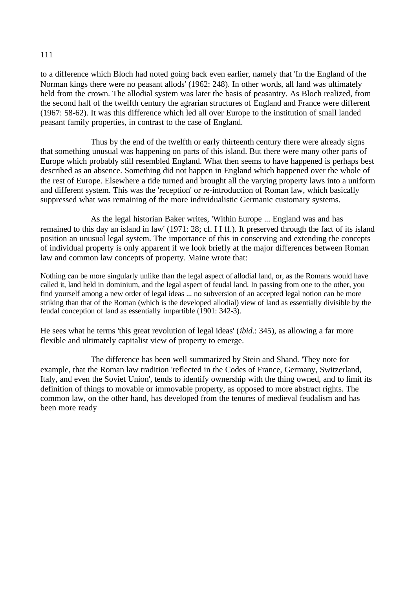to a difference which Bloch had noted going back even earlier, namely that 'In the England of the Norman kings there were no peasant allods' (1962: 248). In other words, all land was ultimately held from the crown. The allodial system was later the basis of peasantry. As Bloch realized, from the second half of the twelfth century the agrarian structures of England and France were different (1967: 58-62). It was this difference which led all over Europe to the institution of small landed peasant family properties, in contrast to the case of England.

Thus by the end of the twelfth or early thirteenth century there were already signs that something unusual was happening on parts of this island. But there were many other parts of Europe which probably still resembled England. What then seems to have happened is perhaps best described as an absence. Something did not happen in England which happened over the whole of the rest of Europe. Elsewhere a tide turned and brought all the varying property laws into a uniform and different system. This was the 'reception' or re-introduction of Roman law, which basically suppressed what was remaining of the more individualistic Germanic customary systems.

As the legal historian Baker writes, 'Within Europe ... England was and has remained to this day an island in law' (1971: 28; cf. I I ff.). It preserved through the fact of its island position an unusual legal system. The importance of this in conserving and extending the concepts of individual property is only apparent if we look briefly at the major differences between Roman law and common law concepts of property. Maine wrote that:

Nothing can be more singularly unlike than the legal aspect of allodial land, or, as the Romans would have called it, land held in dominium, and the legal aspect of feudal land. In passing from one to the other, you find yourself among a new order of legal ideas ... no subversion of an accepted legal notion can be more striking than that of the Roman (which is the developed allodial) view of land as essentially divisible by the feudal conception of land as essentially impartible (1901: 342-3).

He sees what he terms 'this great revolution of legal ideas' (*ibid*.: 345), as allowing a far more flexible and ultimately capitalist view of property to emerge.

The difference has been well summarized by Stein and Shand. 'They note for example, that the Roman law tradition 'reflected in the Codes of France, Germany, Switzerland, Italy, and even the Soviet Union', tends to identify ownership with the thing owned, and to limit its definition of things to movable or immovable property, as opposed to more abstract rights. The common law, on the other hand, has developed from the tenures of medieval feudalism and has been more ready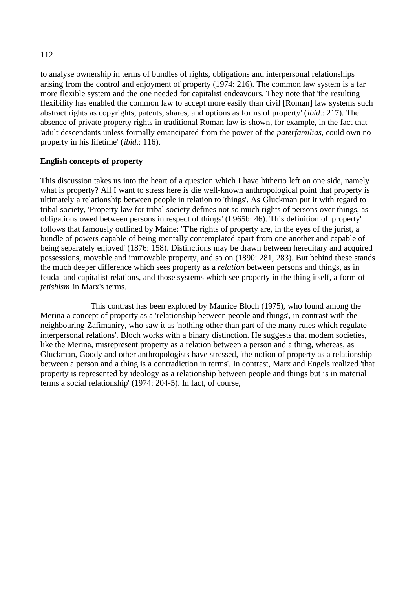to analyse ownership in terms of bundles of rights, obligations and interpersonal relationships arising from the control and enjoyment of property (1974: 216). The common law system is a far more flexible system and the one needed for capitalist endeavours. They note that 'the resulting flexibility has enabled the common law to accept more easily than civil [Roman] law systems such abstract rights as copyrights, patents, shares, and options as forms of property' (*ibid*.: 217). The absence of private property rights in traditional Roman law is shown, for example, in the fact that 'adult descendants unless formally emancipated from the power of the *paterfamilias*, could own no property in his lifetime' (*ibid*.: 116).

# **English concepts of property**

This discussion takes us into the heart of a question which I have hitherto left on one side, namely what is property? All I want to stress here is die well-known anthropological point that property is ultimately a relationship between people in relation to 'things'. As Gluckman put it with regard to tribal society, 'Property law for tribal society defines not so much rights of persons over things, as obligations owed between persons in respect of things' (I 965b: 46). This definition of 'property' follows that famously outlined by Maine: 'T'he rights of property are, in the eyes of the jurist, a bundle of powers capable of being mentally contemplated apart from one another and capable of being separately enjoyed' (1876: 158). Distinctions may be drawn between hereditary and acquired possessions, movable and immovable property, and so on (1890: 281, 283). But behind these stands the much deeper difference which sees property as a *relation* between persons and things, as in feudal and capitalist relations, and those systems which see property in the thing itself, a form of *fetishism* in Marx's terms.

This contrast has been explored by Maurice Bloch (1975), who found among the Merina a concept of property as a 'relationship between people and things', in contrast with the neighbouring Zafimaniry, who saw it as 'nothing other than part of the many rules which regulate interpersonal relations'. Bloch works with a binary distinction. He suggests that modem societies, like the Merina, misrepresent property as a relation between a person and a thing, whereas, as Gluckman, Goody and other anthropologists have stressed, 'the notion of property as a relationship between a person and a thing is a contradiction in terms'. In contrast, Marx and Engels realized 'that property is represented by ideology as a relationship between people and things but is in material terms a social relationship' (1974: 204-5). In fact, of course,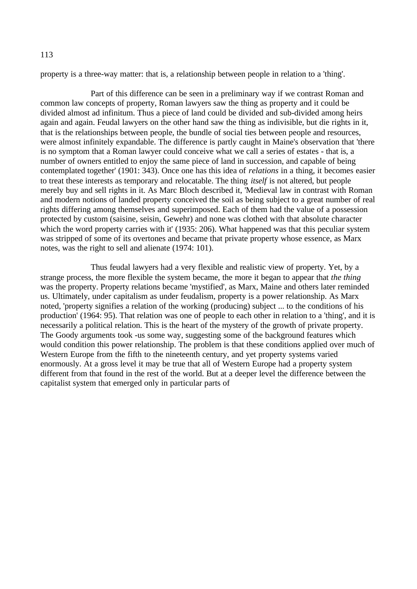property is a three-way matter: that is, a relationship between people in relation to a 'thing'.

Part of this difference can be seen in a preliminary way if we contrast Roman and common law concepts of property, Roman lawyers saw the thing as property and it could be divided almost ad infinitum. Thus a piece of land could be divided and sub-divided among heirs again and again. Feudal lawyers on the other hand saw the thing as indivisible, but die rights in it, that is the relationships between people, the bundle of social ties between people and resources, were almost infinitely expandable. The difference is partly caught in Maine's observation that 'there is no symptom that a Roman lawyer could conceive what we call a series of estates - that is, a number of owners entitled to enjoy the same piece of land in succession, and capable of being contemplated together' (1901: 343). Once one has this idea of *relations* in a thing, it becomes easier to treat these interests as temporary and relocatable. The thing *itself* is not altered, but people merely buy and sell rights in it. As Marc Bloch described it, 'Medieval law in contrast with Roman and modern notions of landed property conceived the soil as being subject to a great number of real rights differing among themselves and superimposed. Each of them had the value of a possession protected by custom (saisine, seisin, Gewehr) and none was clothed with that absolute character which the word property carries with it' (1935: 206). What happened was that this peculiar system was stripped of some of its overtones and became that private property whose essence, as Marx notes, was the right to sell and alienate (1974: 101).

Thus feudal lawyers had a very flexible and realistic view of property. Yet, by a strange process, the more flexible the system became, the more it began to appear that *the thing* was the property. Property relations became 'mystified', as Marx, Maine and others later reminded us. Ultimately, under capitalism as under feudalism, property is a power relationship. As Marx noted, 'property signifies a relation of the working (producing) subject ... to the conditions of his production' (1964: 95). That relation was one of people to each other in relation to a 'thing', and it is necessarily a political relation. This is the heart of the mystery of the growth of private property. The Goody arguments took -us some way, suggesting some of the background features which would condition this power relationship. The problem is that these conditions applied over much of Western Europe from the fifth to the nineteenth century, and yet property systems varied enormously. At a gross level it may be true that all of Western Europe had a property system different from that found in the rest of the world. But at a deeper level the difference between the capitalist system that emerged only in particular parts of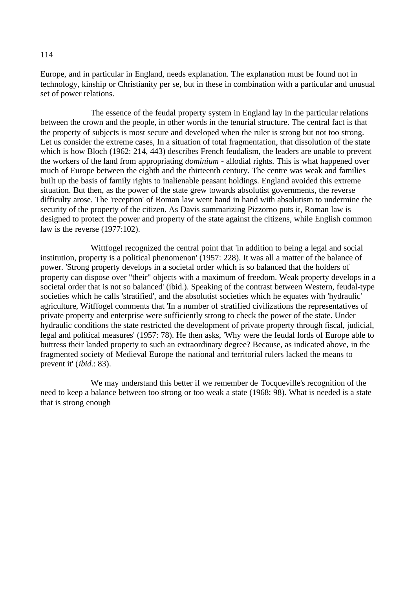Europe, and in particular in England, needs explanation. The explanation must be found not in technology, kinship or Christianity per se, but in these in combination with a particular and unusual set of power relations.

The essence of the feudal property system in England lay in the particular relations between the crown and the people, in other words in the tenurial structure. The central fact is that the property of subjects is most secure and developed when the ruler is strong but not too strong. Let us consider the extreme cases, In a situation of total fragmentation, that dissolution of the state which is how Bloch (1962: 214, 443) describes French feudalism, the leaders are unable to prevent the workers of the land from appropriating *dominium* - allodial rights. This is what happened over much of Europe between the eighth and the thirteenth century. The centre was weak and families built up the basis of family rights to inalienable peasant holdings. England avoided this extreme situation. But then, as the power of the state grew towards absolutist governments, the reverse difficulty arose. The 'reception' of Roman law went hand in hand with absolutism to undermine the security of the property of the citizen. As Davis summarizing Pizzorno puts it, Roman law is designed to protect the power and property of the state against the citizens, while English common law is the reverse (1977:102).

Wittfogel recognized the central point that 'in addition to being a legal and social institution, property is a political phenomenon' (1957: 228). It was all a matter of the balance of power. 'Strong property develops in a societal order which is so balanced that the holders of property can dispose over "their" objects with a maximum of freedom. Weak property develops in a societal order that is not so balanced' (ibid.). Speaking of the contrast between Western, feudal-type societies which he calls 'stratified', and the absolutist societies which he equates with 'hydraulic' agriculture, Witffogel comments that 'In a number of stratified civilizations the representatives of private property and enterprise were sufficiently strong to check the power of the state. Under hydraulic conditions the state restricted the development of private property through fiscal, judicial, legal and political measures' (1957: 78). He then asks, 'Why were the feudal lords of Europe able to buttress their landed property to such an extraordinary degree? Because, as indicated above, in the fragmented society of Medieval Europe the national and territorial rulers lacked the means to prevent it' (*ibid*.: 83).

We may understand this better if we remember de Tocqueville's recognition of the need to keep a balance between too strong or too weak a state (1968: 98). What is needed is a state that is strong enough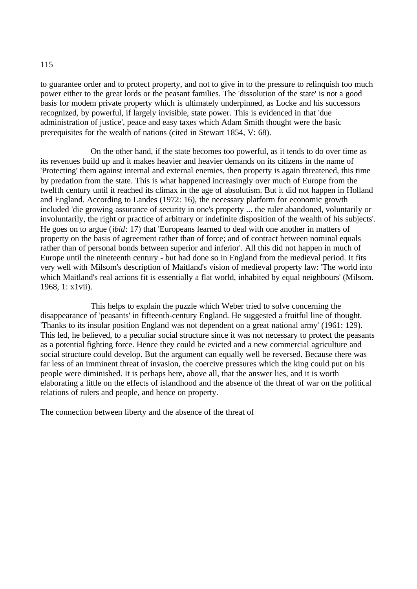to guarantee order and to protect property, and not to give in to the pressure to relinquish too much power either to the great lords or the peasant families. The 'dissolution of the state' is not a good basis for modem private property which is ultimately underpinned, as Locke and his successors recognized, by powerful, if largely invisible, state power. This is evidenced in that 'due administration of justice', peace and easy taxes which Adam Smith thought were the basic prerequisites for the wealth of nations (cited in Stewart 1854, V: 68).

On the other hand, if the state becomes too powerful, as it tends to do over time as its revenues build up and it makes heavier and heavier demands on its citizens in the name of 'Protecting' them against internal and external enemies, then property is again threatened, this time by predation from the state. This is what happened increasingly over much of Europe from the twelfth century until it reached its climax in the age of absolutism. But it did not happen in Holland and England. According to Landes (1972: 16), the necessary platform for economic growth included 'die growing assurance of security in one's property ... the ruler abandoned, voluntarily or involuntarily, the right or practice of arbitrary or indefinite disposition of the wealth of his subjects'. He goes on to argue (*ibid*: 17) that 'Europeans learned to deal with one another in matters of property on the basis of agreement rather than of force; and of contract between nominal equals rather than of personal bonds between superior and inferior'. All this did not happen in much of Europe until the nineteenth century - but had done so in England from the medieval period. It fits very well with Milsom's description of Maitland's vision of medieval property law: 'The world into which Maitland's real actions fit is essentially a flat world, inhabited by equal neighbours' (Milsom. 1968, 1: x1vii).

This helps to explain the puzzle which Weber tried to solve concerning the disappearance of 'peasants' in fifteenth-century England. He suggested a fruitful line of thought. 'Thanks to its insular position England was not dependent on a great national army' (1961: 129). This led, he believed, to a peculiar social structure since it was not necessary to protect the peasants as a potential fighting force. Hence they could be evicted and a new commercial agriculture and social structure could develop. But the argument can equally well be reversed. Because there was far less of an imminent threat of invasion, the coercive pressures which the king could put on his people were diminished. It is perhaps here, above all, that the answer lies, and it is worth elaborating a little on the effects of islandhood and the absence of the threat of war on the political relations of rulers and people, and hence on property.

The connection between liberty and the absence of the threat of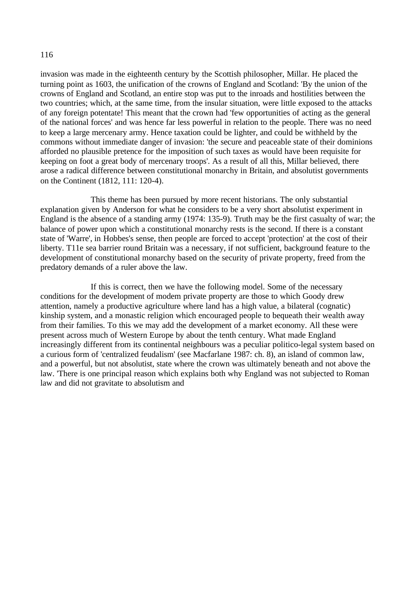invasion was made in the eighteenth century by the Scottish philosopher, Millar. He placed the turning point as 1603, the unification of the crowns of England and Scotland: 'By the union of the crowns of England and Scotland, an entire stop was put to the inroads and hostilities between the two countries; which, at the same time, from the insular situation, were little exposed to the attacks of any foreign potentate! This meant that the crown had 'few opportunities of acting as the general of the national forces' and was hence far less powerful in relation to the people. There was no need to keep a large mercenary army. Hence taxation could be lighter, and could be withheld by the commons without immediate danger of invasion: 'the secure and peaceable state of their dominions afforded no plausible pretence for the imposition of such taxes as would have been requisite for keeping on foot a great body of mercenary troops'. As a result of all this, Millar believed, there arose a radical difference between constitutional monarchy in Britain, and absolutist governments on the Continent (1812, 111: 120-4).

This theme has been pursued by more recent historians. The only substantial explanation given by Anderson for what he considers to be a very short absolutist experiment in England is the absence of a standing army (1974: 135-9). Truth may be the first casualty of war; the balance of power upon which a constitutional monarchy rests is the second. If there is a constant state of 'Warre', in Hobbes's sense, then people are forced to accept 'protection' at the cost of their liberty. T11e sea barrier round Britain was a necessary, if not sufficient, background feature to the development of constitutional monarchy based on the security of private property, freed from the predatory demands of a ruler above the law.

If this is correct, then we have the following model. Some of the necessary conditions for the development of modem private property are those to which Goody drew attention, namely a productive agriculture where land has a high value, a bilateral (cognatic) kinship system, and a monastic religion which encouraged people to bequeath their wealth away from their families. To this we may add the development of a market economy. All these were present across much of Western Europe by about the tenth century. What made England increasingly different from its continental neighbours was a peculiar politico-legal system based on a curious form of 'centralized feudalism' (see Macfarlane 1987: ch. 8), an island of common law, and a powerful, but not absolutist, state where the crown was ultimately beneath and not above the law. 'There is one principal reason which explains both why England was not subjected to Roman law and did not gravitate to absolutism and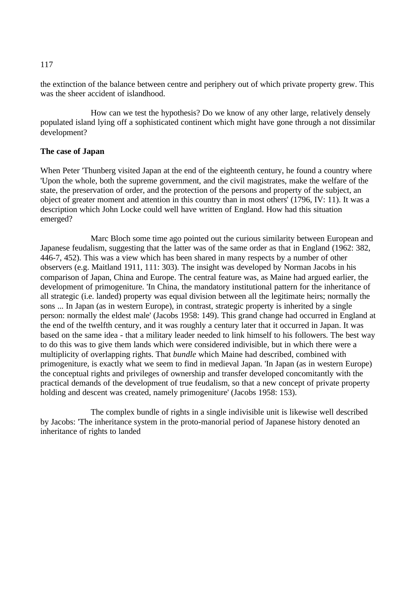the extinction of the balance between centre and periphery out of which private property grew. This was the sheer accident of islandhood.

How can we test the hypothesis? Do we know of any other large, relatively densely populated island lying off a sophisticated continent which might have gone through a not dissimilar development?

## **The case of Japan**

When Peter 'Thunberg visited Japan at the end of the eighteenth century, he found a country where 'Upon the whole, both the supreme government, and the civil magistrates, make the welfare of the state, the preservation of order, and the protection of the persons and property of the subject, an object of greater moment and attention in this country than in most others' (1796, IV: 11). It was a description which John Locke could well have written of England. How had this situation emerged?

Marc Bloch some time ago pointed out the curious similarity between European and Japanese feudalism, suggesting that the latter was of the same order as that in England (1962: 382, 446-7, 452). This was a view which has been shared in many respects by a number of other observers (e.g. Maitland 1911, 111: 303). The insight was developed by Norman Jacobs in his comparison of Japan, China and Europe. The central feature was, as Maine had argued earlier, the development of primogeniture. 'In China, the mandatory institutional pattern for the inheritance of all strategic (i.e. landed) property was equal division between all the legitimate heirs; normally the sons ... In Japan (as in western Europe), in contrast, strategic property is inherited by a single person: normally the eldest male' (Jacobs 1958: 149). This grand change had occurred in England at the end of the twelfth century, and it was roughly a century later that it occurred in Japan. It was based on the same idea - that a military leader needed to link himself to his followers. The best way to do this was to give them lands which were considered indivisible, but in which there were a multiplicity of overlapping rights. That *bundle* which Maine had described, combined with primogeniture, is exactly what we seem to find in medieval Japan. 'In Japan (as in western Europe) the conceptual rights and privileges of ownership and transfer developed concomitantly with the practical demands of the development of true feudalism, so that a new concept of private property holding and descent was created, namely primogeniture' (Jacobs 1958: 153).

The complex bundle of rights in a single indivisible unit is likewise well described by Jacobs: 'The inheritance system in the proto-manorial period of Japanese history denoted an inheritance of rights to landed

117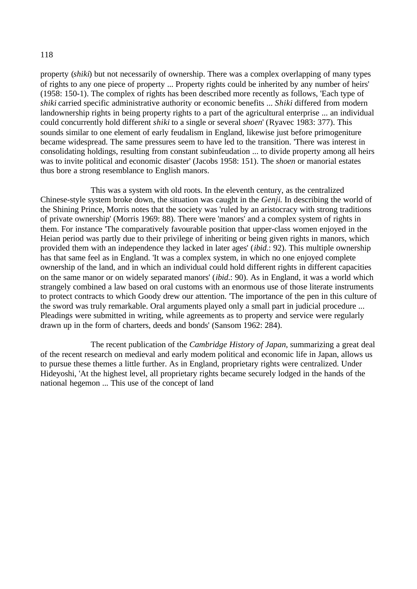property (*shiki*) but not necessarily of ownership. There was a complex overlapping of many types of rights to any one piece of property ... Property rights could be inherited by any number of heirs' (1958: 150-1). The complex of rights has been described more recently as follows, 'Each type of *shiki* carried specific administrative authority or economic benefits ... *Shiki* differed from modern landownership rights in being property rights to a part of the agricultural enterprise ... an individual could concurrently hold different *shiki* to a single or several *shoen*' (Ryavec 1983: 377). This sounds similar to one element of early feudalism in England, likewise just before primogeniture became widespread. The same pressures seem to have led to the transition. 'There was interest in consolidating holdings, resulting from constant subinfeudation ... to divide property among all heirs was to invite political and economic disaster' (Jacobs 1958: 151). The *shoen* or manorial estates thus bore a strong resemblance to English manors.

This was a system with old roots. In the eleventh century, as the centralized Chinese-style system broke down, the situation was caught in the *Genji*. In describing the world of the Shining Prince, Morris notes that the society was 'ruled by an aristocracy with strong traditions of private ownership' (Morris 1969: 88). There were 'manors' and a complex system of rights in them. For instance 'The comparatively favourable position that upper-class women enjoyed in the Heian period was partly due to their privilege of inheriting or being given rights in manors, which provided them with an independence they lacked in later ages' (*ibid*.: 92). This multiple ownership has that same feel as in England. 'It was a complex system, in which no one enjoyed complete ownership of the land, and in which an individual could hold different rights in different capacities on the same manor or on widely separated manors' (*ibid*.: 90). As in England, it was a world which strangely combined a law based on oral customs with an enormous use of those literate instruments to protect contracts to which Goody drew our attention. 'The importance of the pen in this culture of the sword was truly remarkable. Oral arguments played only a small part in judicial procedure ... Pleadings were submitted in writing, while agreements as to property and service were regularly drawn up in the form of charters, deeds and bonds' (Sansom 1962: 284).

The recent publication of the *Cambridge History of Japan*, summarizing a great deal of the recent research on medieval and early modem political and economic life in Japan, allows us to pursue these themes a little further. As in England, proprietary rights were centralized. Under Hideyoshi, 'At the highest level, all proprietary rights became securely lodged in the hands of the national hegemon ... This use of the concept of land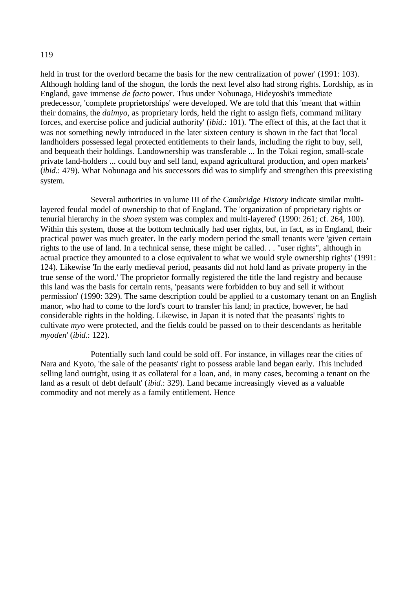held in trust for the overlord became the basis for the new centralization of power' (1991: 103). Although holding land of the shogun, the lords the next level also had strong rights. Lordship, as in England, gave immense *de facto* power. Thus under Nobunaga, Hideyoshi's immediate predecessor, 'complete proprietorships' were developed. We are told that this 'meant that within their domains, the *daimyo*, as proprietary lords, held the right to assign fiefs, command military forces, and exercise police and judicial authority' (*ibid*.: 101). 'The effect of this, at the fact that it was not something newly introduced in the later sixteen century is shown in the fact that 'local landholders possessed legal protected entitlements to their lands, including the right to buy, sell, and bequeath their holdings. Landownership was transferable ... In the Tokai region, small-scale private land-holders ... could buy and sell land, expand agricultural production, and open markets' (*ibid*.: 479). What Nobunaga and his successors did was to simplify and strengthen this preexisting system.

Several authorities in volume III of the *Cambridge History* indicate similar multilayered feudal model of ownership to that of England. The 'organization of proprietary rights or tenurial hierarchy in the *shoen* system was complex and multi-layered' (1990: 261; cf. 264, 100). Within this system, those at the bottom technically had user rights, but, in fact, as in England, their practical power was much greater. In the early modern period the small tenants were 'given certain rights to the use of land. In a technical sense, these might be called. . . "user rights", although in actual practice they amounted to a close equivalent to what we would style ownership rights' (1991: 124). Likewise 'In the early medieval period, peasants did not hold land as private property in the true sense of the word.' The proprietor formally registered the title the land registry and because this land was the basis for certain rents, 'peasants were forbidden to buy and sell it without permission' (1990: 329). The same description could be applied to a customary tenant on an English manor, who had to come to the lord's court to transfer his land; in practice, however, he had considerable rights in the holding. Likewise, in Japan it is noted that 'the peasants' rights to cultivate *myo* were protected, and the fields could be passed on to their descendants as heritable *myoden*' (*ibid*.: 122).

Potentially such land could be sold off. For instance, in villages near the cities of Nara and Kyoto, 'the sale of the peasants' right to possess arable land began early. This included selling land outright, using it as collateral for a loan, and, in many cases, becoming a tenant on the land as a result of debt default' (*ibid*.: 329). Land became increasingly vieved as a valuable commodity and not merely as a family entitlement. Hence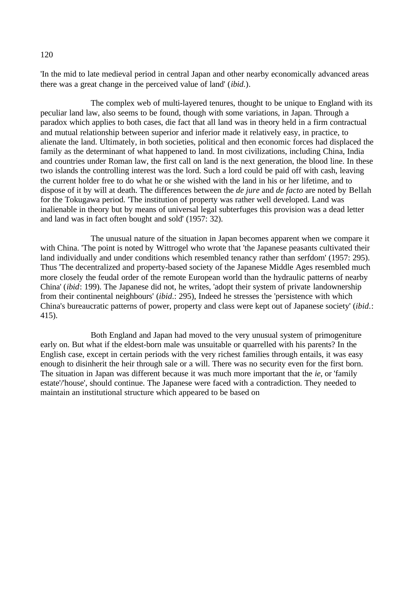'In the mid to late medieval period in central Japan and other nearby economically advanced areas there was a great change in the perceived value of land' (*ibid*.).

The complex web of multi-layered tenures, thought to be unique to England with its peculiar land law, also seems to be found, though with some variations, in Japan. Through a paradox which applies to both cases, die fact that all land was in theory held in a firm contractual and mutual relationship between superior and inferior made it relatively easy, in practice, to alienate the land. Ultimately, in both societies, political and then economic forces had displaced the family as the determinant of what happened to land. In most civilizations, including China, India and countries under Roman law, the first call on land is the next generation, the blood line. In these two islands the controlling interest was the lord. Such a lord could be paid off with cash, leaving the current holder free to do what he or she wished with the land in his or her lifetime, and to dispose of it by will at death. The differences between the *de jure* and *de facto* are noted by Bellah for the Tokugawa period. 'The institution of property was rather well developed. Land was inalienable in theory but by means of universal legal subterfuges this provision was a dead letter and land was in fact often bought and sold' (1957: 32).

The unusual nature of the situation in Japan becomes apparent when we compare it with China. 'The point is noted by Wittrogel who wrote that 'the Japanese peasants cultivated their land individually and under conditions which resembled tenancy rather than serfdom' (1957: 295). Thus 'The decentralized and property-based society of the Japanese Middle Ages resembled much more closely the feudal order of the remote European world than the hydraulic patterns of nearby China' (*ibid*: 199). The Japanese did not, he writes, 'adopt their system of private landownership from their continental neighbours' (*ibid*.: 295), Indeed he stresses the 'persistence with which China's bureaucratic patterns of power, property and class were kept out of Japanese society' (*ibid*.: 415).

Both England and Japan had moved to the very unusual system of primogeniture early on. But what if the eldest-born male was unsuitable or quarrelled with his parents? In the English case, except in certain periods with the very richest families through entails, it was easy enough to disinherit the heir through sale or a will. There was no security even for the first born. The situation in Japan was different because it was much more important that the *ie*, or 'family estate'/'house', should continue. The Japanese were faced with a contradiction. They needed to maintain an institutional structure which appeared to be based on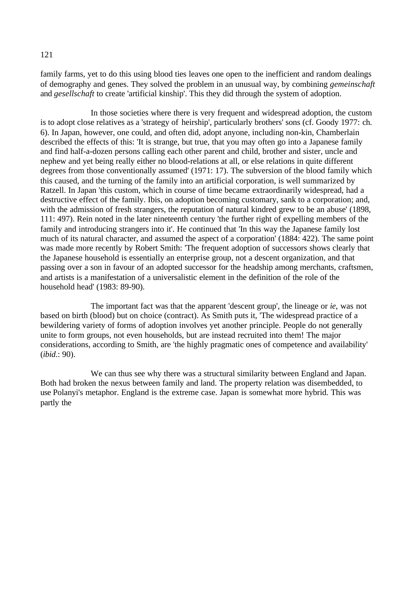family farms, yet to do this using blood ties leaves one open to the inefficient and random dealings of demography and genes. They solved the problem in an unusual way, by combining *gemeinschaft* and *gesellschaft* to create 'artificial kinship'. This they did through the system of adoption.

In those societies where there is very frequent and widespread adoption, the custom is to adopt close relatives as a 'strategy of heirship', particularly brothers' sons (cf. Goody 1977: ch. 6). In Japan, however, one could, and often did, adopt anyone, including non-kin, Chamberlain described the effects of this: 'It is strange, but true, that you may often go into a Japanese family and find half-a-dozen persons calling each other parent and child, brother and sister, uncle and nephew and yet being really either no blood-relations at all, or else relations in quite different degrees from those conventionally assumed' (1971: 17). The subversion of the blood family which this caused, and the turning of the family into an artificial corporation, is well summarized by Ratzell. In Japan 'this custom, which in course of time became extraordinarily widespread, had a destructive effect of the family. Ibis, on adoption becoming customary, sank to a corporation; and, with the admission of fresh strangers, the reputation of natural kindred grew to be an abuse' (1898, 111: 497). Rein noted in the later nineteenth century 'the further right of expelling members of the family and introducing strangers into it'. He continued that 'In this way the Japanese family lost much of its natural character, and assumed the aspect of a corporation' (1884: 422). The same point was made more recently by Robert Smith: 'The frequent adoption of successors shows clearly that the Japanese household is essentially an enterprise group, not a descent organization, and that passing over a son in favour of an adopted successor for the headship among merchants, craftsmen, and artists is a manifestation of a universalistic element in the definition of the role of the household head' (1983: 89-90).

The important fact was that the apparent 'descent group', the lineage or *ie*, was not based on birth (blood) but on choice (contract). As Smith puts it, 'The widespread practice of a bewildering variety of forms of adoption involves yet another principle. People do not generally unite to form groups, not even households, but are instead recruited into them! The major considerations, according to Smith, are 'the highly pragmatic ones of competence and availability' (*ibid*.: 90).

We can thus see why there was a structural similarity between England and Japan. Both had broken the nexus between family and land. The property relation was disembedded, to use Polanyi's metaphor. England is the extreme case. Japan is somewhat more hybrid. This was partly the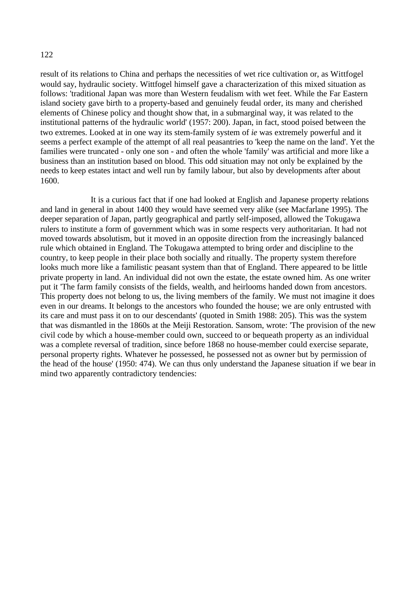result of its relations to China and perhaps the necessities of wet rice cultivation or, as Wittfogel would say, hydraulic society. Wittfogel himself gave a characterization of this mixed situation as follows: 'traditional Japan was more than Western feudalism with wet feet. While the Far Eastern island society gave birth to a property-based and genuinely feudal order, its many and cherished elements of Chinese policy and thought show that, in a submarginal way, it was related to the institutional patterns of the hydraulic world' (1957: 200). Japan, in fact, stood poised between the two extremes. Looked at in one way its stem-family system of *ie* was extremely powerful and it seems a perfect example of the attempt of all real peasantries to 'keep the name on the land'. Yet the families were truncated - only one son - and often the whole 'family' was artificial and more like a business than an institution based on blood. This odd situation may not only be explained by the needs to keep estates intact and well run by family labour, but also by developments after about 1600.

It is a curious fact that if one had looked at English and Japanese property relations and land in general in about 1400 they would have seemed very alike (see Macfarlane 1995). The deeper separation of Japan, partly geographical and partly self-imposed, allowed the Tokugawa rulers to institute a form of government which was in some respects very authoritarian. It had not moved towards absolutism, but it moved in an opposite direction from the increasingly balanced rule which obtained in England. The Tokugawa attempted to bring order and discipline to the country, to keep people in their place both socially and ritually. The property system therefore looks much more like a familistic peasant system than that of England. There appeared to be little private property in land. An individual did not own the estate, the estate owned him. As one writer put it 'The farm family consists of the fields, wealth, and heirlooms handed down from ancestors. This property does not belong to us, the living members of the family. We must not imagine it does even in our dreams. It belongs to the ancestors who founded the house; we are only entrusted with its care and must pass it on to our descendants' (quoted in Smith 1988: 205). This was the system that was dismantled in the 1860s at the Meiji Restoration. Sansom, wrote: 'The provision of the new civil code by which a house-member could own, succeed to or bequeath property as an individual was a complete reversal of tradition, since before 1868 no house-member could exercise separate, personal property rights. Whatever he possessed, he possessed not as owner but by permission of the head of the house' (1950: 474). We can thus only understand the Japanese situation if we bear in mind two apparently contradictory tendencies: